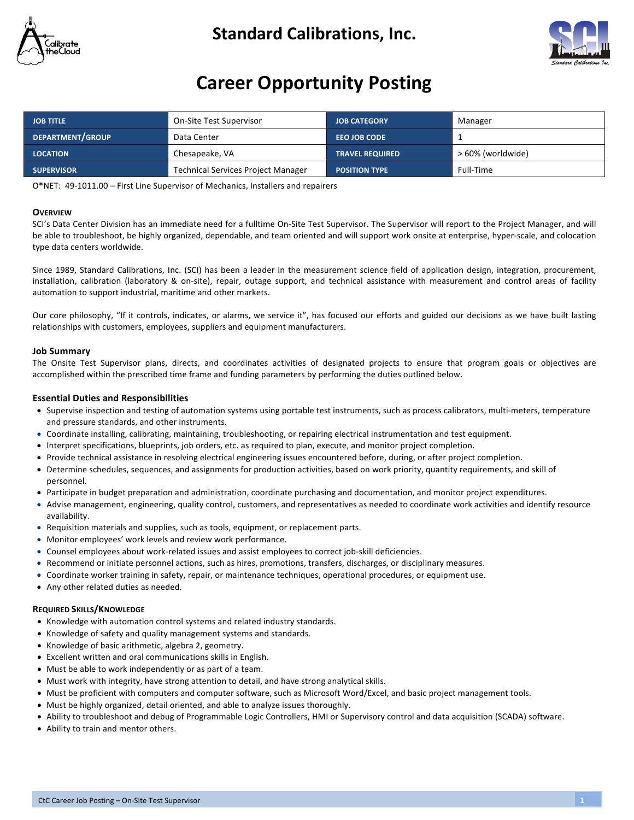

# **Standard Calibrations, Inc.**



# **Career Opportunity Posting**

| <b>JOB TITLE</b>  | On-Site Test Supervisor                   | <b>JOB CATEGORY</b>    | Manager           |
|-------------------|-------------------------------------------|------------------------|-------------------|
| DEPARTMENT/GROUP  | Data Center                               | <b>EEO JOB CODE</b>    |                   |
| <b>LOCATION</b>   | Chesapeake, VA                            | <b>TRAVEL REQUIRED</b> | > 60% (worldwide) |
| <b>SUPERVISOR</b> | <b>Technical Services Project Manager</b> | <b>POSITION TYPE</b>   | Full-Time         |

O\*NET: 49-1011.00 – First Line Supervisor of Mechanics, Installers and repairers

# **OVERVIEW**

SCI's Data Center Division has an immediate need for a fulltime On-Site Test Supervisor. The Supervisor will report to the Project Manager, and will be able to troubleshoot, be highly organized, dependable, and team oriented and will support work onsite at enterprise, hyper-scale, and colocation type data centers worldwide.

Since 1989, Standard Calibrations, Inc. (SCI) has been a leader in the measurement science field of application design, integration, procurement, installation, calibration (laboratory & on-site), repair, outage support, and technical assistance with measurement and control areas of facility automation to support industrial, maritime and other markets.

Our core philosophy, "If it controls, indicates, or alarms, we service it", has focused our efforts and guided our decisions as we have built lasting relationships with customers, employees, suppliers and equipment manufacturers.

# **Job Summary**

The Onsite Test Supervisor plans, directs, and coordinates activities of designated projects to ensure that program goals or objectives are accomplished within the prescribed time frame and funding parameters by performing the duties outlined below.

# **Essential Duties and Responsibilities**

- Supervise inspection and testing of automation systems using portable test instruments, such as process calibrators, multi-meters, temperature and pressure standards, and other instruments.
- Coordinate installing, calibrating, maintaining, troubleshooting, or repairing electrical instrumentation and test equipment.
- Interpret specifications, blueprints, job orders, etc. as required to plan, execute, and monitor project completion.
- Provide technical assistance in resolving electrical engineering issues encountered before, during, or after project completion.
- Determine schedules, sequences, and assignments for production activities, based on work priority, quantity requirements, and skill of personnel.
- Participate in budget preparation and administration, coordinate purchasing and documentation, and monitor project expenditures.
- Advise management, engineering, quality control, customers, and representatives as needed to coordinate work activities and identify resource availability.
- Requisition materials and supplies, such as tools, equipment, or replacement parts.
- Monitor employees' work levels and review work performance.
- Counsel employees about work-related issues and assist employees to correct job-skill deficiencies.
- Recommend or initiate personnel actions, such as hires, promotions, transfers, discharges, or disciplinary measures.
- Coordinate worker training in safety, repair, or maintenance techniques, operational procedures, or equipment use.
- Any other related duties as needed.

# **REQUIRED SKILLS/KNOWLEDGE**

- Knowledge with automation control systems and related industry standards.
- Knowledge of safety and quality management systems and standards.
- Knowledge of basic arithmetic, algebra 2, geometry.
- Excellent written and oral communications skills in English.
- Must be able to work independently or as part of a team.
- Must work with integrity, have strong attention to detail, and have strong analytical skills.
- Must be proficient with computers and computer software, such as Microsoft Word/Excel, and basic project management tools.
- Must be highly organized, detail oriented, and able to analyze issues thoroughly.
- Ability to troubleshoot and debug of Programmable Logic Controllers, HMI or Supervisory control and data acquisition (SCADA) software.
- Ability to train and mentor others.